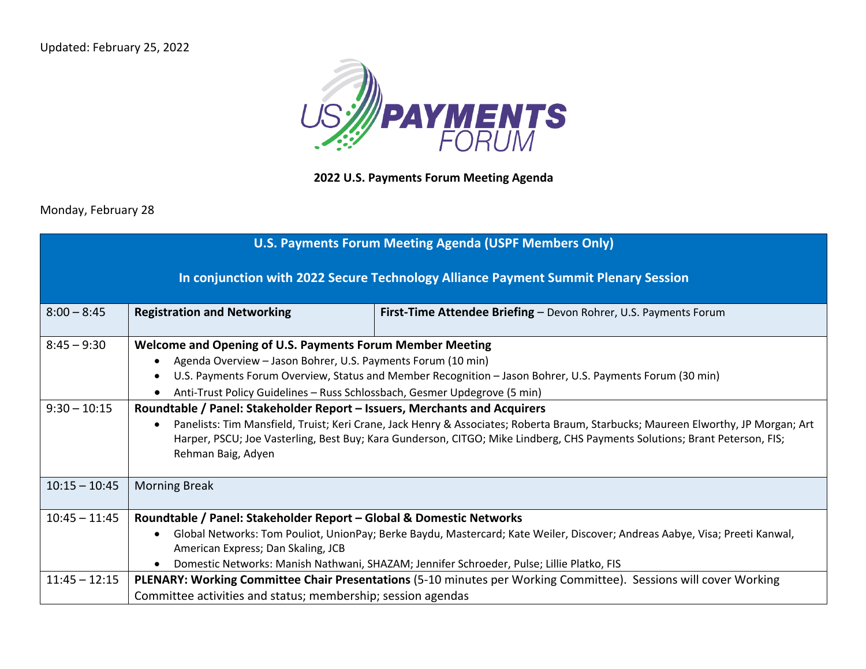Updated: February 25, 2022



## **2022 U.S. Payments Forum Meeting Agenda**

Monday, February 28

| <b>U.S. Payments Forum Meeting Agenda (USPF Members Only)</b>                      |                                                                                                                                                                                                                                                                                                                                                                    |                                                                                                                                                                                                                          |  |  |
|------------------------------------------------------------------------------------|--------------------------------------------------------------------------------------------------------------------------------------------------------------------------------------------------------------------------------------------------------------------------------------------------------------------------------------------------------------------|--------------------------------------------------------------------------------------------------------------------------------------------------------------------------------------------------------------------------|--|--|
| In conjunction with 2022 Secure Technology Alliance Payment Summit Plenary Session |                                                                                                                                                                                                                                                                                                                                                                    |                                                                                                                                                                                                                          |  |  |
| $8:00 - 8:45$                                                                      | <b>Registration and Networking</b>                                                                                                                                                                                                                                                                                                                                 | First-Time Attendee Briefing - Devon Rohrer, U.S. Payments Forum                                                                                                                                                         |  |  |
| $8:45 - 9:30$                                                                      | Welcome and Opening of U.S. Payments Forum Member Meeting<br>Agenda Overview - Jason Bohrer, U.S. Payments Forum (10 min)<br>U.S. Payments Forum Overview, Status and Member Recognition - Jason Bohrer, U.S. Payments Forum (30 min)<br>Anti-Trust Policy Guidelines - Russ Schlossbach, Gesmer Updegrove (5 min)                                                 |                                                                                                                                                                                                                          |  |  |
| $9:30 - 10:15$                                                                     | Roundtable / Panel: Stakeholder Report - Issuers, Merchants and Acquirers<br>Panelists: Tim Mansfield, Truist; Keri Crane, Jack Henry & Associates; Roberta Braum, Starbucks; Maureen Elworthy, JP Morgan; Art<br>Harper, PSCU; Joe Vasterling, Best Buy; Kara Gunderson, CITGO; Mike Lindberg, CHS Payments Solutions; Brant Peterson, FIS;<br>Rehman Baig, Adyen |                                                                                                                                                                                                                          |  |  |
| $10:15 - 10:45$                                                                    | <b>Morning Break</b>                                                                                                                                                                                                                                                                                                                                               |                                                                                                                                                                                                                          |  |  |
| $10:45 - 11:45$                                                                    | Roundtable / Panel: Stakeholder Report – Global & Domestic Networks<br>American Express; Dan Skaling, JCB                                                                                                                                                                                                                                                          | Global Networks: Tom Pouliot, UnionPay; Berke Baydu, Mastercard; Kate Weiler, Discover; Andreas Aabye, Visa; Preeti Kanwal,<br>Domestic Networks: Manish Nathwani, SHAZAM; Jennifer Schroeder, Pulse; Lillie Platko, FIS |  |  |
| $11:45 - 12:15$                                                                    | Committee activities and status; membership; session agendas                                                                                                                                                                                                                                                                                                       | PLENARY: Working Committee Chair Presentations (5-10 minutes per Working Committee). Sessions will cover Working                                                                                                         |  |  |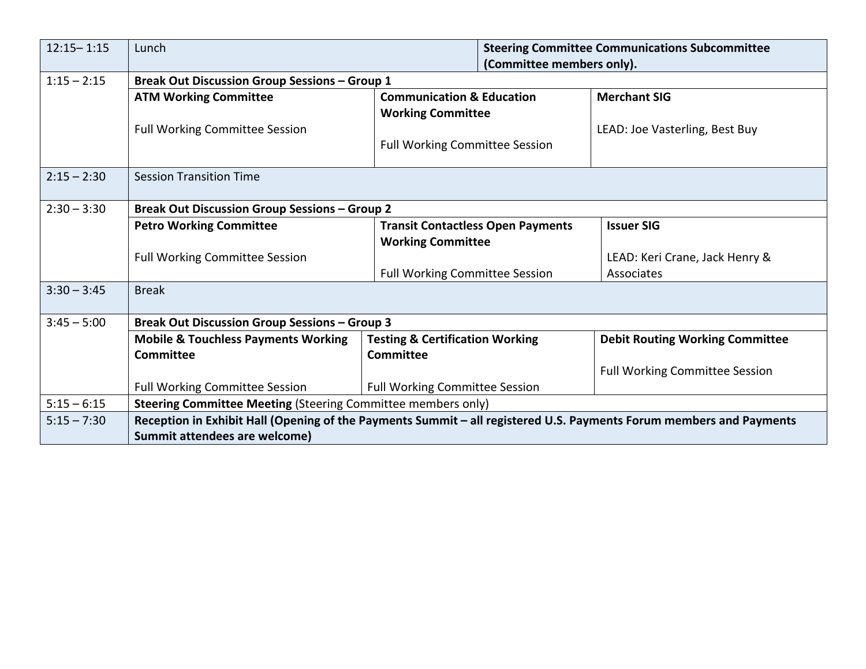| $12:15 - 1:15$ | Lunch                                                                                                               |                                                                  | <b>Steering Committee Communications Subcommittee</b><br>(Committee members only). |                                        |  |
|----------------|---------------------------------------------------------------------------------------------------------------------|------------------------------------------------------------------|------------------------------------------------------------------------------------|----------------------------------------|--|
| $1:15 - 2:15$  | <b>Break Out Discussion Group Sessions - Group 1</b>                                                                |                                                                  |                                                                                    |                                        |  |
|                | <b>ATM Working Committee</b>                                                                                        | <b>Communication &amp; Education</b><br><b>Working Committee</b> |                                                                                    | <b>Merchant SIG</b>                    |  |
|                |                                                                                                                     |                                                                  |                                                                                    |                                        |  |
|                | <b>Full Working Committee Session</b>                                                                               |                                                                  |                                                                                    | LEAD: Joe Vasterling, Best Buy         |  |
|                |                                                                                                                     | <b>Full Working Committee Session</b>                            |                                                                                    |                                        |  |
| $2:15 - 2:30$  | <b>Session Transition Time</b>                                                                                      |                                                                  |                                                                                    |                                        |  |
|                |                                                                                                                     |                                                                  |                                                                                    |                                        |  |
| $2:30 - 3:30$  | <b>Break Out Discussion Group Sessions - Group 2</b>                                                                |                                                                  |                                                                                    |                                        |  |
|                | <b>Petro Working Committee</b>                                                                                      |                                                                  | <b>Issuer SIG</b><br><b>Transit Contactless Open Payments</b>                      |                                        |  |
|                |                                                                                                                     | <b>Working Committee</b>                                         |                                                                                    |                                        |  |
|                | Full Working Committee Session                                                                                      |                                                                  |                                                                                    | LEAD: Keri Crane, Jack Henry &         |  |
|                |                                                                                                                     | <b>Full Working Committee Session</b>                            |                                                                                    | Associates                             |  |
| $3:30 - 3:45$  | <b>Break</b>                                                                                                        |                                                                  |                                                                                    |                                        |  |
|                |                                                                                                                     |                                                                  |                                                                                    |                                        |  |
| $3:45 - 5:00$  | <b>Break Out Discussion Group Sessions - Group 3</b>                                                                |                                                                  |                                                                                    |                                        |  |
|                | <b>Mobile &amp; Touchless Payments Working</b>                                                                      | <b>Testing &amp; Certification Working</b>                       |                                                                                    | <b>Debit Routing Working Committee</b> |  |
|                | <b>Committee</b>                                                                                                    | <b>Committee</b>                                                 |                                                                                    |                                        |  |
|                |                                                                                                                     |                                                                  |                                                                                    | <b>Full Working Committee Session</b>  |  |
|                | Full Working Committee Session                                                                                      | <b>Full Working Committee Session</b>                            |                                                                                    |                                        |  |
| $5:15 - 6:15$  | Steering Committee Meeting (Steering Committee members only)                                                        |                                                                  |                                                                                    |                                        |  |
| $5:15 - 7:30$  | Reception in Exhibit Hall (Opening of the Payments Summit – all registered U.S. Payments Forum members and Payments |                                                                  |                                                                                    |                                        |  |
|                | Summit attendees are welcome)                                                                                       |                                                                  |                                                                                    |                                        |  |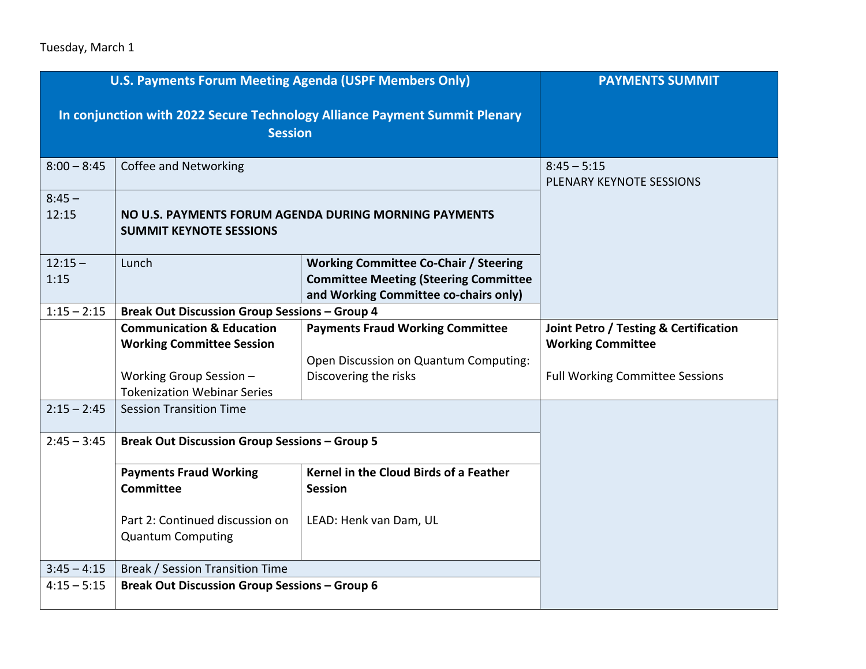## Tuesday, March 1

| <b>U.S. Payments Forum Meeting Agenda (USPF Members Only)</b> |                                                                                              |                                                                                                                                       | <b>PAYMENTS SUMMIT</b>                           |
|---------------------------------------------------------------|----------------------------------------------------------------------------------------------|---------------------------------------------------------------------------------------------------------------------------------------|--------------------------------------------------|
|                                                               | In conjunction with 2022 Secure Technology Alliance Payment Summit Plenary<br><b>Session</b> |                                                                                                                                       |                                                  |
| $8:00 - 8:45$                                                 | Coffee and Networking                                                                        |                                                                                                                                       | $8:45 - 5:15$<br>PLENARY KEYNOTE SESSIONS        |
| $8:45 -$<br>12:15                                             | NO U.S. PAYMENTS FORUM AGENDA DURING MORNING PAYMENTS<br><b>SUMMIT KEYNOTE SESSIONS</b>      |                                                                                                                                       |                                                  |
| $12:15 -$<br>1:15                                             | Lunch                                                                                        | <b>Working Committee Co-Chair / Steering</b><br><b>Committee Meeting (Steering Committee</b><br>and Working Committee co-chairs only) |                                                  |
| $1:15 - 2:15$                                                 | <b>Break Out Discussion Group Sessions - Group 4</b>                                         |                                                                                                                                       |                                                  |
|                                                               | <b>Communication &amp; Education</b>                                                         | <b>Payments Fraud Working Committee</b>                                                                                               | <b>Joint Petro / Testing &amp; Certification</b> |
|                                                               | <b>Working Committee Session</b>                                                             |                                                                                                                                       | <b>Working Committee</b>                         |
|                                                               |                                                                                              | Open Discussion on Quantum Computing:                                                                                                 |                                                  |
|                                                               | Working Group Session -<br><b>Tokenization Webinar Series</b>                                | Discovering the risks                                                                                                                 | <b>Full Working Committee Sessions</b>           |
| $2:15 - 2:45$                                                 | <b>Session Transition Time</b>                                                               |                                                                                                                                       |                                                  |
| $2:45 - 3:45$                                                 | <b>Break Out Discussion Group Sessions - Group 5</b>                                         |                                                                                                                                       |                                                  |
|                                                               | <b>Payments Fraud Working</b><br><b>Committee</b>                                            | Kernel in the Cloud Birds of a Feather<br><b>Session</b>                                                                              |                                                  |
|                                                               | Part 2: Continued discussion on<br><b>Quantum Computing</b>                                  | LEAD: Henk van Dam, UL                                                                                                                |                                                  |
| $3:45 - 4:15$                                                 | Break / Session Transition Time                                                              |                                                                                                                                       |                                                  |
| $4:15 - 5:15$                                                 | <b>Break Out Discussion Group Sessions - Group 6</b>                                         |                                                                                                                                       |                                                  |